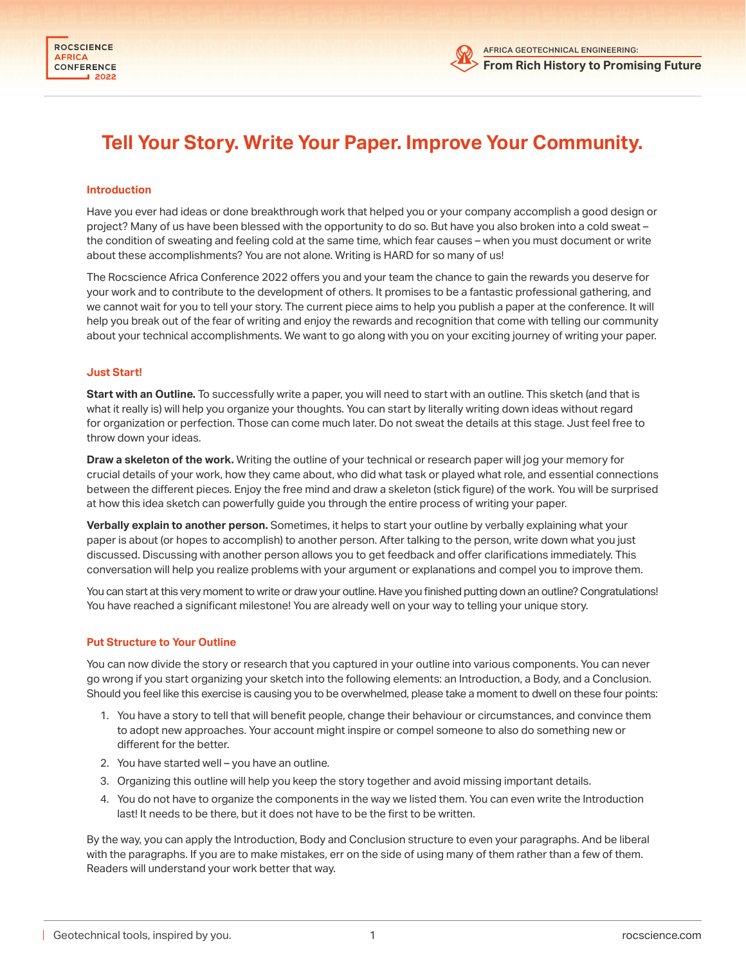

# **Tell Your Story. Write Your Paper. Improve Your Community.**

#### **Introduction**

Have you ever had ideas or done breakthrough work that helped you or your company accomplish a good design or project? Many of us have been blessed with the opportunity to do so. But have you also broken into a cold sweat – the condition of sweating and feeling cold at the same time, which fear causes – when you must document or write about these accomplishments? You are not alone. Writing is HARD for so many of us!

The Rocscience Africa Conference 2022 offers you and your team the chance to gain the rewards you deserve for your work and to contribute to the development of others. It promises to be a fantastic professional gathering, and we cannot wait for you to tell your story. The current piece aims to help you publish a paper at the conference. It will help you break out of the fear of writing and enjoy the rewards and recognition that come with telling our community about your technical accomplishments. We want to go along with you on your exciting journey of writing your paper.

#### **Just Start!**

**Start with an Outline.** To successfully write a paper, you will need to start with an outline. This sketch (and that is what it really is) will help you organize your thoughts. You can start by literally writing down ideas without regard for organization or perfection. Those can come much later. Do not sweat the details at this stage. Just feel free to throw down your ideas.

**Draw a skeleton of the work.** Writing the outline of your technical or research paper will jog your memory for crucial details of your work, how they came about, who did what task or played what role, and essential connections between the different pieces. Enjoy the free mind and draw a skeleton (stick figure) of the work. You will be surprised at how this idea sketch can powerfully guide you through the entire process of writing your paper.

**Verbally explain to another person.** Sometimes, it helps to start your outline by verbally explaining what your paper is about (or hopes to accomplish) to another person. After talking to the person, write down what you just discussed. Discussing with another person allows you to get feedback and offer clarifications immediately. This conversation will help you realize problems with your argument or explanations and compel you to improve them.

You can start at this very moment to write or draw your outline. Have you finished putting down an outline? Congratulations! You have reached a significant milestone! You are already well on your way to telling your unique story.

#### **Put Structure to Your Outline**

You can now divide the story or research that you captured in your outline into various components. You can never go wrong if you start organizing your sketch into the following elements: an Introduction, a Body, and a Conclusion. Should you feel like this exercise is causing you to be overwhelmed, please take a moment to dwell on these four points:

- 1. You have a story to tell that will benefit people, change their behaviour or circumstances, and convince them to adopt new approaches. Your account might inspire or compel someone to also do something new or different for the better.
- 2. You have started well you have an outline.
- 3. Organizing this outline will help you keep the story together and avoid missing important details.
- 4. You do not have to organize the components in the way we listed them. You can even write the Introduction last! It needs to be there, but it does not have to be the first to be written.

By the way, you can apply the Introduction, Body and Conclusion structure to even your paragraphs. And be liberal with the paragraphs. If you are to make mistakes, err on the side of using many of them rather than a few of them. Readers will understand your work better that way.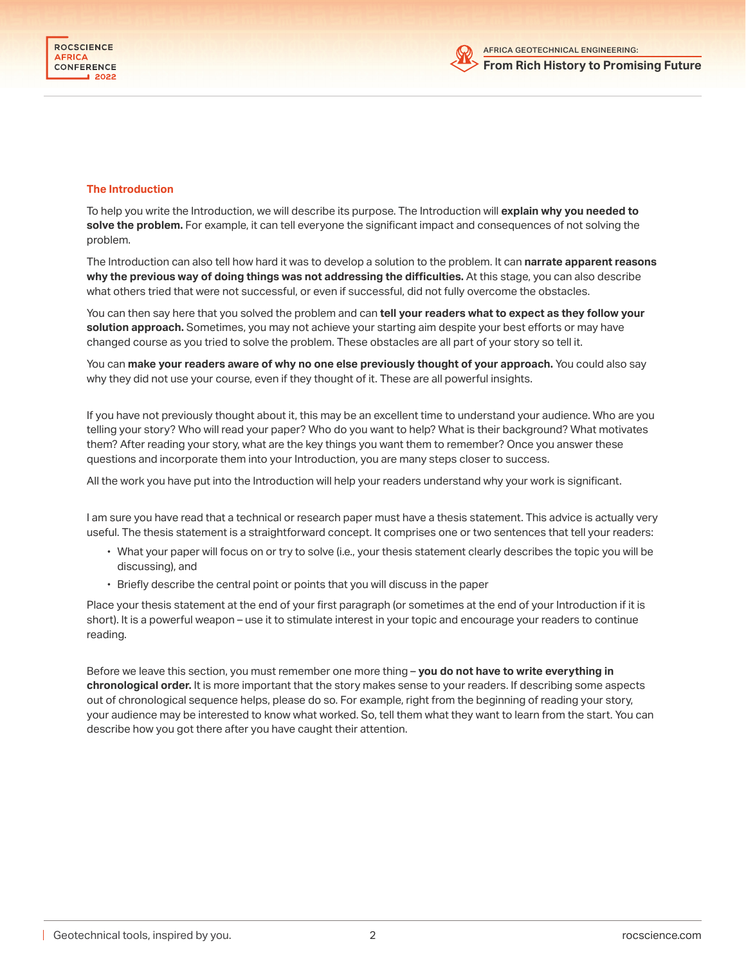

#### **The Introduction**

To help you write the Introduction, we will describe its purpose. The Introduction will **explain why you needed to**  solve the problem. For example, it can tell everyone the significant impact and consequences of not solving the problem.

The Introduction can also tell how hard it was to develop a solution to the problem. It can **narrate apparent reasons**  why the previous way of doing things was not addressing the difficulties. At this stage, you can also describe what others tried that were not successful, or even if successful, did not fully overcome the obstacles.

You can then say here that you solved the problem and can **tell your readers what to expect as they follow your**  solution approach. Sometimes, you may not achieve your starting aim despite your best efforts or may have changed course as you tried to solve the problem. These obstacles are all part of your story so tell it.

You can **make your readers aware of why no one else previously thought of your approach.** You could also say why they did not use your course, even if they thought of it. These are all powerful insights.

If you have not previously thought about it, this may be an excellent time to understand your audience. Who are you telling your story? Who will read your paper? Who do you want to help? What is their background? What motivates them? After reading your story, what are the key things you want them to remember? Once you answer these questions and incorporate them into your Introduction, you are many steps closer to success.

All the work you have put into the Introduction will help your readers understand why your work is significant.

I am sure you have read that a technical or research paper must have a thesis statement. This advice is actually very useful. The thesis statement is a straightforward concept. It comprises one or two sentences that tell your readers:

- What your paper will focus on or try to solve (i.e., your thesis statement clearly describes the topic you will be discussing), and
- Briefly describe the central point or points that you will discuss in the paper

Place your thesis statement at the end of your first paragraph (or sometimes at the end of your Introduction if it is short). It is a powerful weapon – use it to stimulate interest in your topic and encourage your readers to continue reading.

Before we leave this section, you must remember one more thing – **you do not have to write everything in chronological order.** It is more important that the story makes sense to your readers. If describing some aspects out of chronological sequence helps, please do so. For example, right from the beginning of reading your story, your audience may be interested to know what worked. So, tell them what they want to learn from the start. You can describe how you got there after you have caught their attention.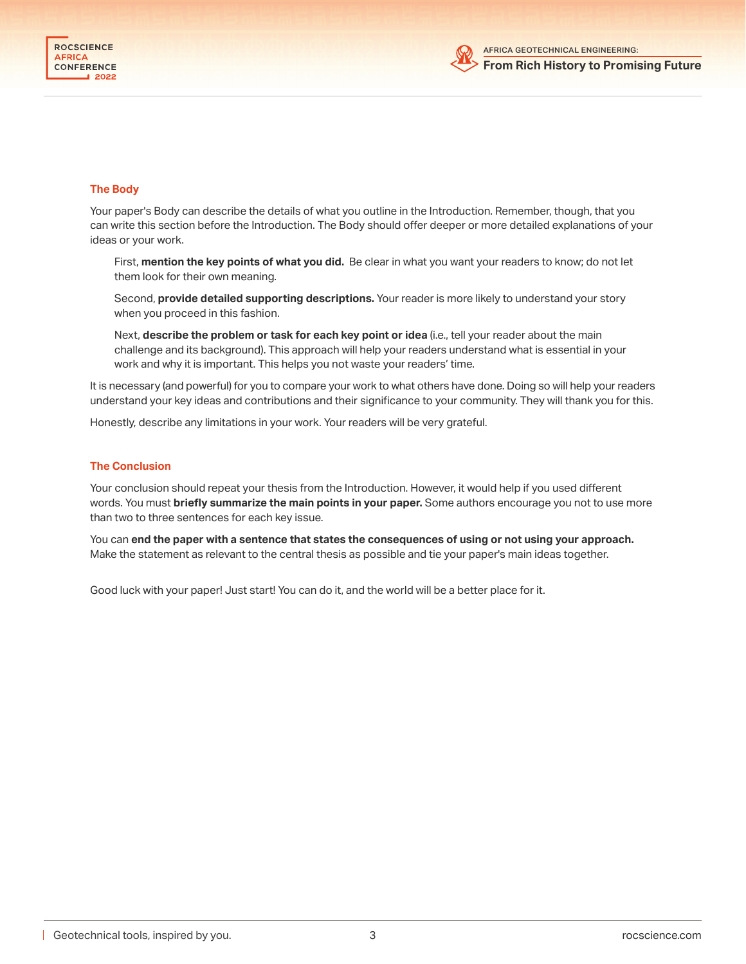

#### **The Body**

Your paper's Body can describe the details of what you outline in the Introduction. Remember, though, that you can write this section before the Introduction. The Body should offer deeper or more detailed explanations of your ideas or your work.

First, **mention the key points of what you did.** Be clear in what you want your readers to know; do not let them look for their own meaning.

Second, **provide detailed supporting descriptions.** Your reader is more likely to understand your story when you proceed in this fashion.

Next, **describe the problem or task for each key point or idea** (i.e., tell your reader about the main challenge and its background). This approach will help your readers understand what is essential in your work and why it is important. This helps you not waste your readers' time.

It is necessary (and powerful) for you to compare your work to what others have done. Doing so will help your readers understand your key ideas and contributions and their significance to your community. They will thank you for this.

Honestly, describe any limitations in your work. Your readers will be very grateful.

#### **The Conclusion**

Your conclusion should repeat your thesis from the Introduction. However, it would help if you used different words. You must **briefly summarize the main points in your paper.** Some authors encourage you not to use more than two to three sentences for each key issue.

You can **end the paper with a sentence that states the consequences of using or not using your approach.** Make the statement as relevant to the central thesis as possible and tie your paper's main ideas together.

Good luck with your paper! Just start! You can do it, and the world will be a better place for it.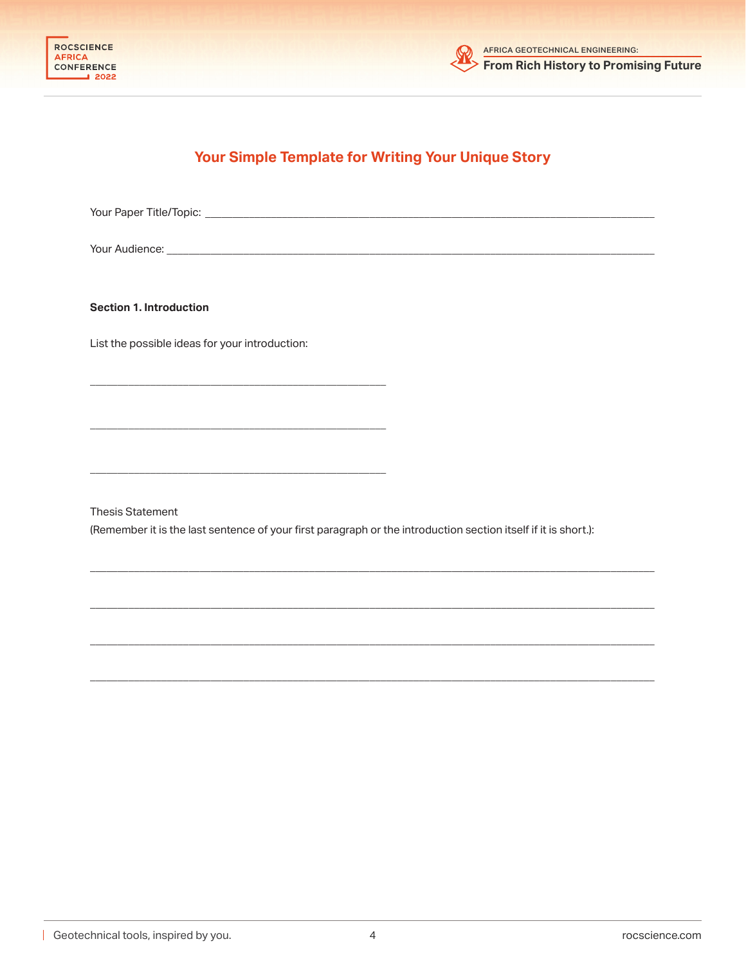



# **Your Simple Template for Writing Your Unique Story**

Your Paper Title/Topic: \_\_\_\_\_\_\_\_\_\_\_\_\_\_\_\_\_\_\_\_\_\_\_\_\_\_\_\_\_\_\_\_\_\_\_\_\_\_\_\_\_\_\_\_\_\_\_\_\_\_\_\_\_\_\_\_\_\_\_\_\_\_\_\_\_\_\_\_\_\_\_\_\_\_\_\_\_\_\_\_\_\_

Your Audience: \_\_\_\_\_\_\_\_\_\_\_\_\_\_\_\_\_\_\_\_\_\_\_\_\_\_\_\_\_\_\_\_\_\_\_\_\_\_\_\_\_\_\_\_\_\_\_\_\_\_\_\_\_\_\_\_\_\_\_\_\_\_\_\_\_\_\_\_\_\_\_\_\_\_\_\_\_\_\_\_\_\_\_\_\_\_\_\_\_

**Section 1. Introduction**

List the possible ideas for your introduction:

 $\overline{\phantom{a}}$  , and the contribution of  $\overline{\phantom{a}}$  , and  $\overline{\phantom{a}}$  , and  $\overline{\phantom{a}}$  , and  $\overline{\phantom{a}}$  , and  $\overline{\phantom{a}}$  , and  $\overline{\phantom{a}}$ 

 $\overline{\phantom{a}}$  , and the contribution of  $\overline{\phantom{a}}$  , and  $\overline{\phantom{a}}$  , and  $\overline{\phantom{a}}$  , and  $\overline{\phantom{a}}$  , and  $\overline{\phantom{a}}$  , and  $\overline{\phantom{a}}$ 

 $\overline{\phantom{a}}$  , and the contribution of  $\overline{\phantom{a}}$  , and  $\overline{\phantom{a}}$  , and  $\overline{\phantom{a}}$  , and  $\overline{\phantom{a}}$  , and  $\overline{\phantom{a}}$  , and  $\overline{\phantom{a}}$ 

Thesis Statement

(Remember it is the last sentence of your first paragraph or the introduction section itself if it is short.):

\_\_\_\_\_\_\_\_\_\_\_\_\_\_\_\_\_\_\_\_\_\_\_\_\_\_\_\_\_\_\_\_\_\_\_\_\_\_\_\_\_\_\_\_\_\_\_\_\_\_\_\_\_\_\_\_\_\_\_\_\_\_\_\_\_\_\_\_\_\_\_\_\_\_\_\_\_\_\_\_\_\_\_\_\_\_\_\_\_\_\_\_\_\_\_\_\_\_\_\_\_\_\_

\_\_\_\_\_\_\_\_\_\_\_\_\_\_\_\_\_\_\_\_\_\_\_\_\_\_\_\_\_\_\_\_\_\_\_\_\_\_\_\_\_\_\_\_\_\_\_\_\_\_\_\_\_\_\_\_\_\_\_\_\_\_\_\_\_\_\_\_\_\_\_\_\_\_\_\_\_\_\_\_\_\_\_\_\_\_\_\_\_\_\_\_\_\_\_\_\_\_\_\_\_\_\_

\_\_\_\_\_\_\_\_\_\_\_\_\_\_\_\_\_\_\_\_\_\_\_\_\_\_\_\_\_\_\_\_\_\_\_\_\_\_\_\_\_\_\_\_\_\_\_\_\_\_\_\_\_\_\_\_\_\_\_\_\_\_\_\_\_\_\_\_\_\_\_\_\_\_\_\_\_\_\_\_\_\_\_\_\_\_\_\_\_\_\_\_\_\_\_\_\_\_\_\_\_\_\_

\_\_\_\_\_\_\_\_\_\_\_\_\_\_\_\_\_\_\_\_\_\_\_\_\_\_\_\_\_\_\_\_\_\_\_\_\_\_\_\_\_\_\_\_\_\_\_\_\_\_\_\_\_\_\_\_\_\_\_\_\_\_\_\_\_\_\_\_\_\_\_\_\_\_\_\_\_\_\_\_\_\_\_\_\_\_\_\_\_\_\_\_\_\_\_\_\_\_\_\_\_\_\_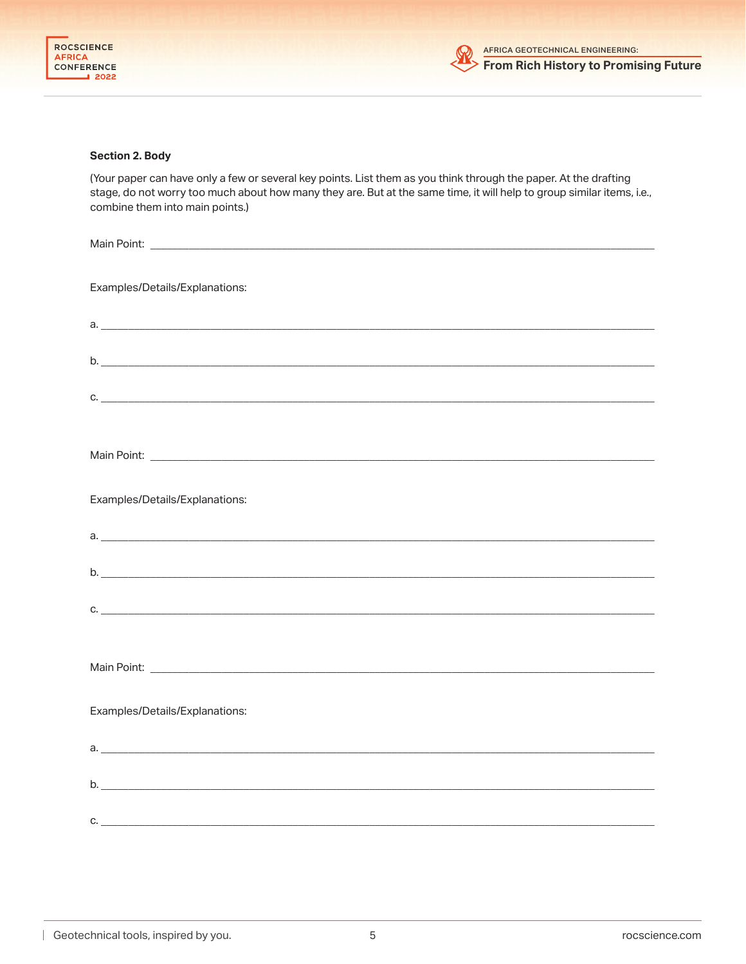

### **Section 2. Body**

(Your paper can have only a few or several key points. List them as you think through the paper. At the drafting stage, do not worry too much about how many they are. But at the same time, it will help to group similar items, i.e., combine them into main points.)

| Examples/Details/Explanations: |
|--------------------------------|
|                                |
|                                |
|                                |
| C.                             |
|                                |
|                                |
|                                |
| Examples/Details/Explanations: |
| $a.$ $a.$                      |
|                                |
| b.                             |
|                                |
|                                |
|                                |
|                                |
| Examples/Details/Explanations: |
|                                |
|                                |
| b.                             |
| $C.$ $C.$                      |
|                                |